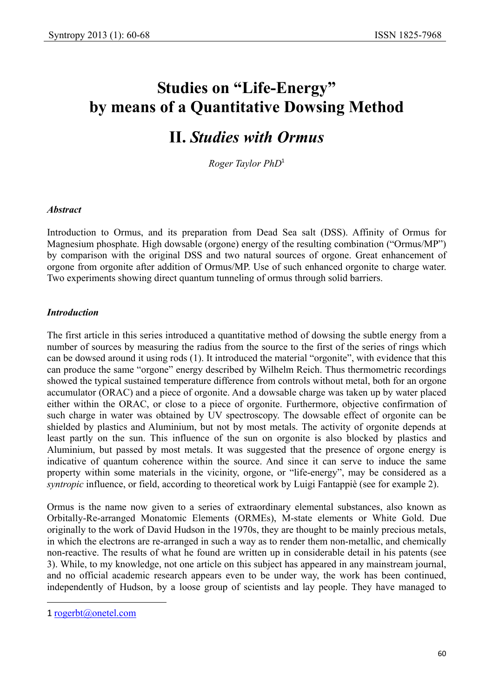# **Studies on "Life-Energy" by means of a Quantitative Dowsing Method**

# **II.** *Studies with Ormus*

*Roger Taylor PhD*<sup>1</sup>

### *Abstract*

Introduction to Ormus, and its preparation from Dead Sea salt (DSS). Affinity of Ormus for Magnesium phosphate. High dowsable (orgone) energy of the resulting combination ("Ormus/MP") by comparison with the original DSS and two natural sources of orgone. Great enhancement of orgone from orgonite after addition of Ormus/MP. Use of such enhanced orgonite to charge water. Two experiments showing direct quantum tunneling of ormus through solid barriers.

### *Introduction*

The first article in this series introduced a quantitative method of dowsing the subtle energy from a number of sources by measuring the radius from the source to the first of the series of rings which can be dowsed around it using rods (1). It introduced the material "orgonite", with evidence that this can produce the same "orgone" energy described by Wilhelm Reich. Thus thermometric recordings showed the typical sustained temperature difference from controls without metal, both for an orgone accumulator (ORAC) and a piece of orgonite. And a dowsable charge was taken up by water placed either within the ORAC, or close to a piece of orgonite. Furthermore, objective confirmation of such charge in water was obtained by UV spectroscopy. The dowsable effect of orgonite can be shielded by plastics and Aluminium, but not by most metals. The activity of orgonite depends at least partly on the sun. This influence of the sun on orgonite is also blocked by plastics and Aluminium, but passed by most metals. It was suggested that the presence of orgone energy is indicative of quantum coherence within the source. And since it can serve to induce the same property within some materials in the vicinity, orgone, or "life-energy", may be considered as a *syntropic* influence, or field, according to theoretical work by Luigi Fantappiè (see for example 2).

Ormus is the name now given to a series of extraordinary elemental substances, also known as Orbitally-Re-arranged Monatomic Elements (ORMEs), M-state elements or White Gold. Due originally to the work of David Hudson in the 1970s, they are thought to be mainly precious metals, in which the electrons are re-arranged in such a way as to render them non-metallic, and chemically non-reactive. The results of what he found are written up in considerable detail in his patents (see 3). While, to my knowledge, not one article on this subject has appeared in any mainstream journal, and no official academic research appears even to be under way, the work has been continued, independently of Hudson, by a loose group of scientists and lay people. They have managed to

 $\overline{a}$ 

<sup>1</sup> rogerbt@onetel.com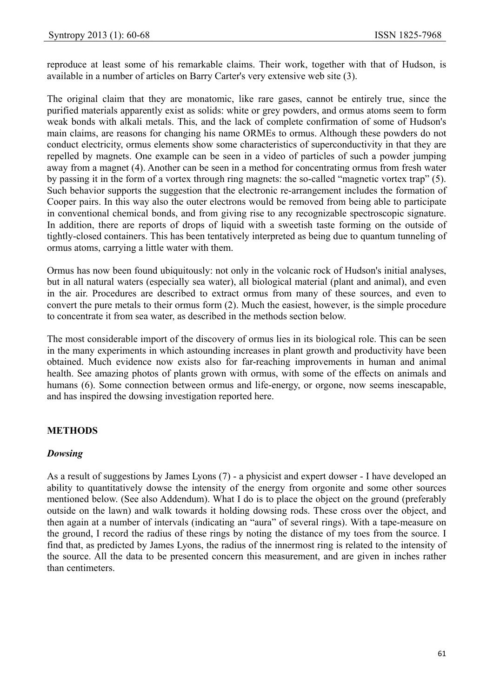reproduce at least some of his remarkable claims. Their work, together with that of Hudson, is available in a number of articles on Barry Carter's very extensive web site (3).

The original claim that they are monatomic, like rare gases, cannot be entirely true, since the purified materials apparently exist as solids: white or grey powders, and ormus atoms seem to form weak bonds with alkali metals. This, and the lack of complete confirmation of some of Hudson's main claims, are reasons for changing his name ORMEs to ormus. Although these powders do not conduct electricity, ormus elements show some characteristics of superconductivity in that they are repelled by magnets. One example can be seen in a video of particles of such a powder jumping away from a magnet (4). Another can be seen in a method for concentrating ormus from fresh water by passing it in the form of a vortex through ring magnets: the so-called "magnetic vortex trap" (5). Such behavior supports the suggestion that the electronic re-arrangement includes the formation of Cooper pairs. In this way also the outer electrons would be removed from being able to participate in conventional chemical bonds, and from giving rise to any recognizable spectroscopic signature. In addition, there are reports of drops of liquid with a sweetish taste forming on the outside of tightly-closed containers. This has been tentatively interpreted as being due to quantum tunneling of ormus atoms, carrying a little water with them.

Ormus has now been found ubiquitously: not only in the volcanic rock of Hudson's initial analyses, but in all natural waters (especially sea water), all biological material (plant and animal), and even in the air. Procedures are described to extract ormus from many of these sources, and even to convert the pure metals to their ormus form (2). Much the easiest, however, is the simple procedure to concentrate it from sea water, as described in the methods section below.

The most considerable import of the discovery of ormus lies in its biological role. This can be seen in the many experiments in which astounding increases in plant growth and productivity have been obtained. Much evidence now exists also for far-reaching improvements in human and animal health. See amazing photos of plants grown with ormus, with some of the effects on animals and humans (6). Some connection between ormus and life-energy, or orgone, now seems inescapable, and has inspired the dowsing investigation reported here.

# **METHODS**

# *Dowsing*

As a result of suggestions by James Lyons (7) - a physicist and expert dowser - I have developed an ability to quantitatively dowse the intensity of the energy from orgonite and some other sources mentioned below. (See also Addendum). What I do is to place the object on the ground (preferably outside on the lawn) and walk towards it holding dowsing rods. These cross over the object, and then again at a number of intervals (indicating an "aura" of several rings). With a tape-measure on the ground, I record the radius of these rings by noting the distance of my toes from the source. I find that, as predicted by James Lyons, the radius of the innermost ring is related to the intensity of the source. All the data to be presented concern this measurement, and are given in inches rather than centimeters.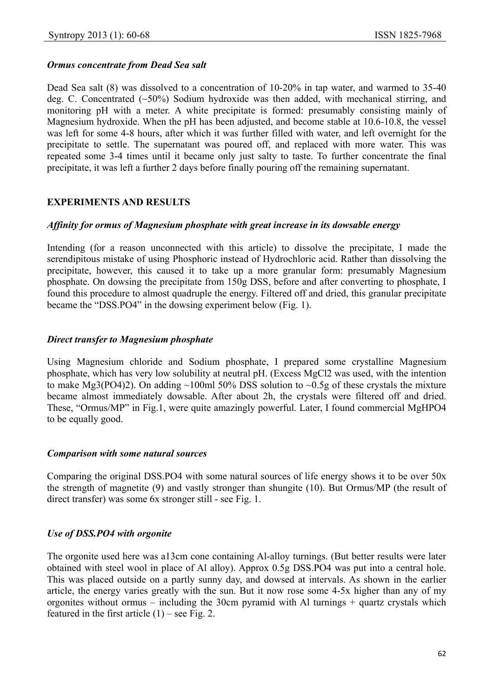# *Ormus concentrate from Dead Sea salt*

Dead Sea salt (8) was dissolved to a concentration of 10-20% in tap water, and warmed to 35-40 deg. C. Concentrated (~50%) Sodium hydroxide was then added, with mechanical stirring, and monitoring pH with a meter. A white precipitate is formed: presumably consisting mainly of Magnesium hydroxide. When the pH has been adjusted, and become stable at 10.6-10.8, the vessel was left for some 4-8 hours, after which it was further filled with water, and left overnight for the precipitate to settle. The supernatant was poured off, and replaced with more water. This was repeated some 3-4 times until it became only just salty to taste. To further concentrate the final precipitate, it was left a further 2 days before finally pouring off the remaining supernatant.

# **EXPERIMENTS AND RESULTS**

#### *Affinity for ormus of Magnesium phosphate with great increase in its dowsable energy*

Intending (for a reason unconnected with this article) to dissolve the precipitate, I made the serendipitous mistake of using Phosphoric instead of Hydrochloric acid. Rather than dissolving the precipitate, however, this caused it to take up a more granular form: presumably Magnesium phosphate. On dowsing the precipitate from 150g DSS, before and after converting to phosphate, I found this procedure to almost quadruple the energy. Filtered off and dried, this granular precipitate became the "DSS.PO4" in the dowsing experiment below (Fig. 1).

#### *Direct transfer to Magnesium phosphate*

Using Magnesium chloride and Sodium phosphate, I prepared some crystalline Magnesium phosphate, which has very low solubility at neutral pH. (Excess MgCl2 was used, with the intention to make Mg3(PO4)2). On adding  $\sim$ 100ml 50% DSS solution to  $\sim$ 0.5g of these crystals the mixture became almost immediately dowsable. After about 2h, the crystals were filtered off and dried. These, "Ormus/MP" in Fig.1, were quite amazingly powerful. Later, I found commercial MgHPO4 to be equally good.

#### *Comparison with some natural sources*

Comparing the original DSS.PO4 with some natural sources of life energy shows it to be over 50x the strength of magnetite (9) and vastly stronger than shungite (10). But Ormus/MP (the result of direct transfer) was some 6x stronger still - see Fig. 1.

# *Use of DSS.PO4 with orgonite*

The orgonite used here was a13cm cone containing Al-alloy turnings. (But better results were later obtained with steel wool in place of Al alloy). Approx 0.5g DSS.PO4 was put into a central hole. This was placed outside on a partly sunny day, and dowsed at intervals. As shown in the earlier article, the energy varies greatly with the sun. But it now rose some 4-5x higher than any of my orgonites without ormus – including the 30cm pyramid with Al turnings + quartz crystals which featured in the first article  $(1)$  – see Fig. 2.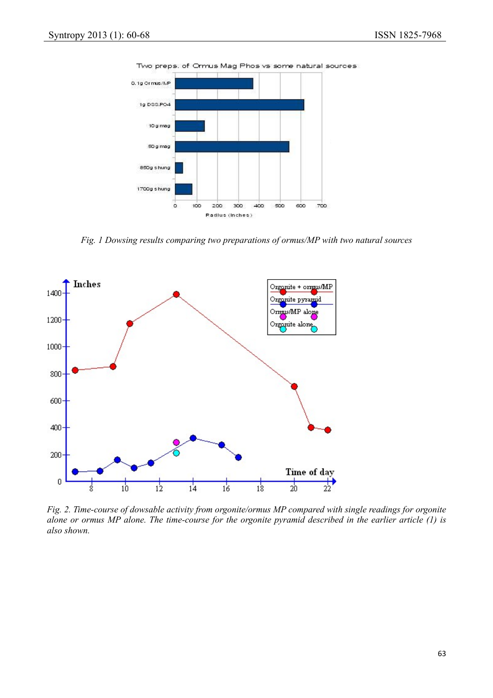



*Fig. 1 Dowsing results comparing two preparations of ormus/MP with two natural sources* 



*Fig. 2. Time-course of dowsable activity from orgonite/ormus MP compared with single readings for orgonite alone or ormus MP alone. The time-course for the orgonite pyramid described in the earlier article (1) is also shown.*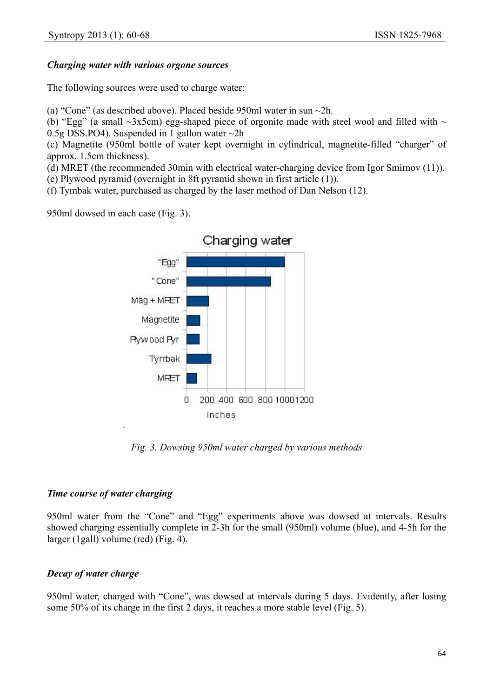# *Charging water with various orgone sources*

The following sources were used to charge water:

(a) "Cone" (as described above). Placed beside 950ml water in sun ~2h.

(b) "Egg" (a small  $\sim$ 3x5cm) egg-shaped piece of orgonite made with steel wool and filled with  $\sim$ 0.5g DSS.PO4). Suspended in 1 gallon water  $\sim$ 2h

(c) Magnetite (950ml bottle of water kept overnight in cylindrical, magnetite-filled "charger" of approx. 1.5cm thickness).

(d) MRET (the recommended 30min with electrical water-charging device from Igor Smirnov (11)).

(e) Plywood pyramid (overnight in 8ft pyramid shown in first article (1)).

(f) Tymbak water, purchased as charged by the laser method of Dan Nelson (12).

950ml dowsed in each case (Fig. 3).



*Fig. 3. Dowsing 950ml water charged by various methods* 

# *Time course of water charging*

950ml water from the "Cone" and "Egg" experiments above was dowsed at intervals. Results showed charging essentially complete in 2-3h for the small (950ml) volume (blue), and 4-5h for the larger (1gall) volume (red) (Fig. 4).

# *Decay of water charge*

950ml water, charged with "Cone", was dowsed at intervals during 5 days. Evidently, after losing some 50% of its charge in the first 2 days, it reaches a more stable level (Fig. 5).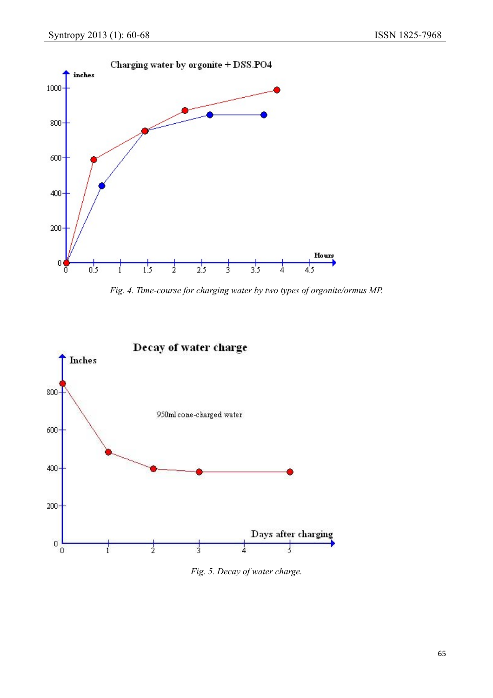

*Fig. 4. Time-course for charging water by two types of orgonite/ormus MP.* 



*Fig. 5. Decay of water charge.*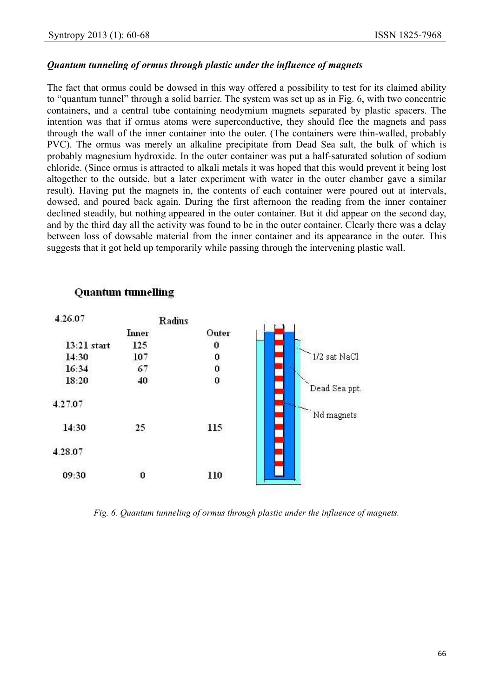### *Quantum tunneling of ormus through plastic under the influence of magnets*

The fact that ormus could be dowsed in this way offered a possibility to test for its claimed ability to "quantum tunnel" through a solid barrier. The system was set up as in Fig. 6, with two concentric containers, and a central tube containing neodymium magnets separated by plastic spacers. The intention was that if ormus atoms were superconductive, they should flee the magnets and pass through the wall of the inner container into the outer. (The containers were thin-walled, probably PVC). The ormus was merely an alkaline precipitate from Dead Sea salt, the bulk of which is probably magnesium hydroxide. In the outer container was put a half-saturated solution of sodium chloride. (Since ormus is attracted to alkali metals it was hoped that this would prevent it being lost altogether to the outside, but a later experiment with water in the outer chamber gave a similar result). Having put the magnets in, the contents of each container were poured out at intervals, dowsed, and poured back again. During the first afternoon the reading from the inner container declined steadily, but nothing appeared in the outer container. But it did appear on the second day, and by the third day all the activity was found to be in the outer container. Clearly there was a delay between loss of dowsable material from the inner container and its appearance in the outer. This suggests that it got held up temporarily while passing through the intervening plastic wall.



# **Quantum tunnelling**

*Fig. 6. Quantum tunneling of ormus through plastic under the influence of magnets.*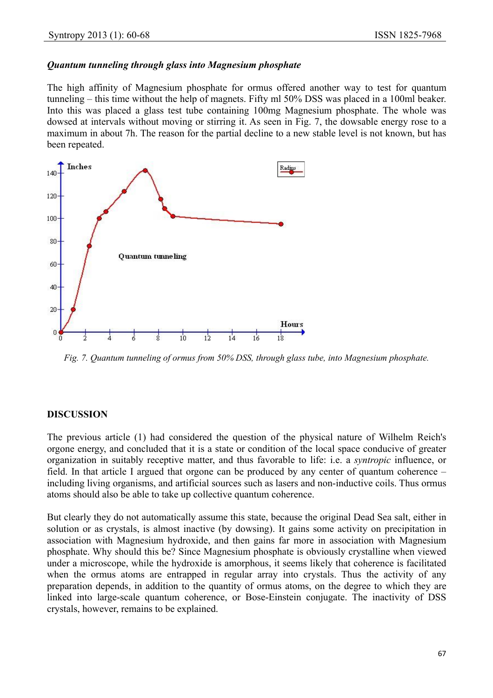#### *Quantum tunneling through glass into Magnesium phosphate*

The high affinity of Magnesium phosphate for ormus offered another way to test for quantum tunneling – this time without the help of magnets. Fifty ml 50% DSS was placed in a 100ml beaker. Into this was placed a glass test tube containing 100mg Magnesium phosphate. The whole was dowsed at intervals without moving or stirring it. As seen in Fig. 7, the dowsable energy rose to a maximum in about 7h. The reason for the partial decline to a new stable level is not known, but has been repeated.



*Fig. 7. Quantum tunneling of ormus from 50% DSS, through glass tube, into Magnesium phosphate.* 

#### **DISCUSSION**

The previous article (1) had considered the question of the physical nature of Wilhelm Reich's orgone energy, and concluded that it is a state or condition of the local space conducive of greater organization in suitably receptive matter, and thus favorable to life: i.e. a *syntropic* influence, or field. In that article I argued that orgone can be produced by any center of quantum coherence – including living organisms, and artificial sources such as lasers and non-inductive coils. Thus ormus atoms should also be able to take up collective quantum coherence.

But clearly they do not automatically assume this state, because the original Dead Sea salt, either in solution or as crystals, is almost inactive (by dowsing). It gains some activity on precipitation in association with Magnesium hydroxide, and then gains far more in association with Magnesium phosphate. Why should this be? Since Magnesium phosphate is obviously crystalline when viewed under a microscope, while the hydroxide is amorphous, it seems likely that coherence is facilitated when the ormus atoms are entrapped in regular array into crystals. Thus the activity of any preparation depends, in addition to the quantity of ormus atoms, on the degree to which they are linked into large-scale quantum coherence, or Bose-Einstein conjugate. The inactivity of DSS crystals, however, remains to be explained.